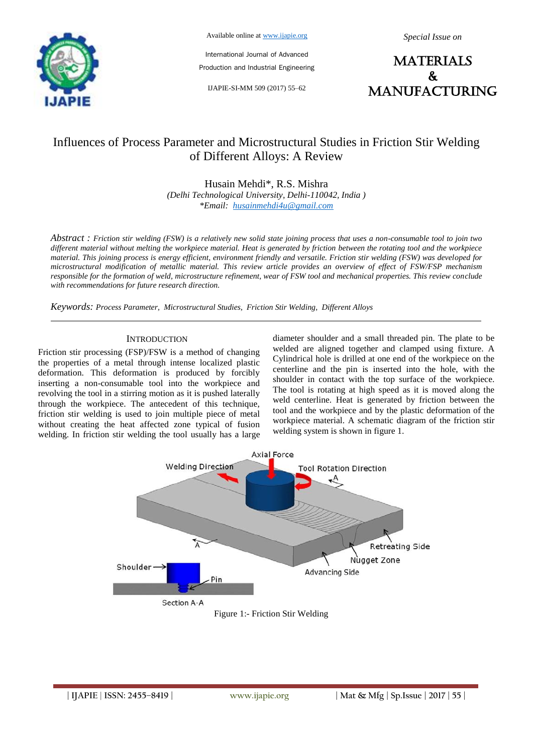

Available online at www.ijapie.org

International Journal of Advanced Production and Industrial Engineering

IJAPIE-SI-MM 509 (2017) 55–62

*Special Issue on*

**MATERIALS**  $\mathbf{k}$ manufacturing

# Influences of Process Parameter and Microstructural Studies in Friction Stir Welding of Different Alloys: A Review

Husain Mehdi\*, R.S. Mishra *(Delhi Technological University, Delhi-110042, India ) \*Email: husainmehdi4u@gmail.com*

*Abstract : Friction stir welding (FSW) is a relatively new solid state joining process that uses a non-consumable tool to join two different material without melting the workpiece material. Heat is generated by friction between the rotating tool and the workpiece material. This joining process is energy efficient, environment friendly and versatile. Friction stir welding (FSW) was developed for microstructural modification of metallic material. This review article provides an overview of effect of FSW/FSP mechanism responsible for the formation of weld, microstructure refinement, wear of FSW tool and mechanical properties. This review conclude with recommendations for future research direction.*

*Keywords: Process Parameter, Microstructural Studies, Friction Stir Welding, Different Alloys*

#### **INTRODUCTION**

Friction stir processing (FSP)/FSW is a method of changing the properties of a metal through intense localized plastic deformation. This deformation is produced by forcibly inserting a non-consumable tool into the workpiece and revolving the tool in a stirring motion as it is pushed laterally through the workpiece. The antecedent of this technique, friction stir welding is used to join multiple piece of metal without creating the heat affected zone typical of fusion welding. In friction stir welding the tool usually has a large diameter shoulder and a small threaded pin. The plate to be welded are aligned together and clamped using fixture. A Cylindrical hole is drilled at one end of the workpiece on the centerline and the pin is inserted into the hole, with the shoulder in contact with the top surface of the workpiece. The tool is rotating at high speed as it is moved along the weld centerline. Heat is generated by friction between the tool and the workpiece and by the plastic deformation of the workpiece material. A schematic diagram of the friction stir welding system is shown in figure 1.

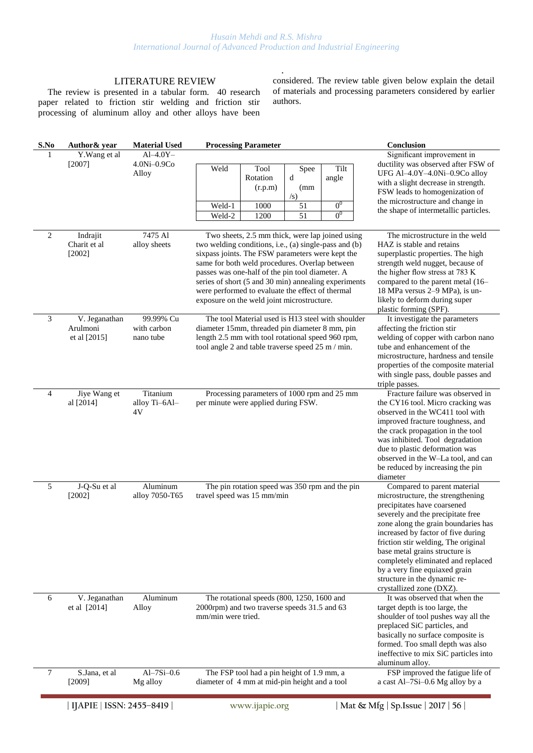.

# LITERATURE REVIEW

The review is presented in a tabular form. 40 research paper related to friction stir welding and friction stir processing of aluminum alloy and other alloys have been

considered. The review table given below explain the detail of materials and processing parameters considered by earlier authors.

| S.No         | Author & year            | <b>Material Used</b> | <b>Processing Parameter</b>                                                                               |                  |                | Conclusion                                                                |
|--------------|--------------------------|----------------------|-----------------------------------------------------------------------------------------------------------|------------------|----------------|---------------------------------------------------------------------------|
| $\mathbf{1}$ | Y. Wang et al            | $Al-4.0Y-$           |                                                                                                           |                  |                | Significant improvement in                                                |
|              | [2007]                   | 4.0Ni-0.9Co          | Weld<br>Tool                                                                                              | Spee             | Tilt           | ductility was observed after FSW of                                       |
|              |                          | Alloy                | Rotation                                                                                                  | d                | angle          | UFG Al-4.0Y-4.0Ni-0.9Co alloy<br>with a slight decrease in strength.      |
|              |                          |                      | (r.p.m)                                                                                                   | (mm              |                | FSW leads to homogenization of                                            |
|              |                          |                      | Weld-1<br>1000                                                                                            | $\sqrt{s}$<br>51 | 0 <sup>0</sup> | the microstructure and change in                                          |
|              |                          |                      | Weld-2<br>1200                                                                                            | 51               | 0 <sup>0</sup> | the shape of intermetallic particles.                                     |
|              |                          |                      |                                                                                                           |                  |                |                                                                           |
| 2            | Indrajit                 | 7475 Al              | Two sheets, 2.5 mm thick, were lap joined using                                                           |                  |                | The microstructure in the weld                                            |
|              | Charit et al             | alloy sheets         | two welding conditions, i.e., (a) single-pass and (b)<br>sixpass joints. The FSW parameters were kept the |                  |                | HAZ is stable and retains<br>superplastic properties. The high            |
|              | $[2002]$                 |                      | same for both weld procedures. Overlap between                                                            |                  |                | strength weld nugget, because of                                          |
|              |                          |                      | passes was one-half of the pin tool diameter. A                                                           |                  |                | the higher flow stress at 783 K                                           |
|              |                          |                      | series of short (5 and 30 min) annealing experiments                                                      |                  |                | compared to the parent metal (16–                                         |
|              |                          |                      | were performed to evaluate the effect of thermal                                                          |                  |                | 18 MPa versus 2-9 MPa), is un-<br>likely to deform during super           |
|              |                          |                      | exposure on the weld joint microstructure.                                                                |                  |                | plastic forming (SPF).                                                    |
| 3            | V. Jeganathan            | 99.99% Cu            | The tool Material used is H13 steel with shoulder                                                         |                  |                | It investigate the parameters                                             |
|              | Arulmoni                 | with carbon          | diameter 15mm, threaded pin diameter 8 mm, pin                                                            |                  |                | affecting the friction stir                                               |
|              | et al [2015]             | nano tube            | length 2.5 mm with tool rotational speed 960 rpm,<br>tool angle 2 and table traverse speed 25 m / min.    |                  |                | welding of copper with carbon nano<br>tube and enhancement of the         |
|              |                          |                      |                                                                                                           |                  |                | microstructure, hardness and tensile                                      |
|              |                          |                      |                                                                                                           |                  |                | properties of the composite material                                      |
|              |                          |                      |                                                                                                           |                  |                | with single pass, double passes and                                       |
| 4            | Jiye Wang et             | Titanium             | Processing parameters of 1000 rpm and 25 mm                                                               |                  |                | triple passes.<br>Fracture failure was observed in                        |
|              | al [2014]                | alloy Ti-6Al-        | per minute were applied during FSW.                                                                       |                  |                | the CY16 tool. Micro cracking was                                         |
|              |                          | 4V                   |                                                                                                           |                  |                | observed in the WC411 tool with                                           |
|              |                          |                      |                                                                                                           |                  |                | improved fracture toughness, and                                          |
|              |                          |                      |                                                                                                           |                  |                | the crack propagation in the tool<br>was inhibited. Tool degradation      |
|              |                          |                      |                                                                                                           |                  |                | due to plastic deformation was                                            |
|              |                          |                      |                                                                                                           |                  |                | observed in the W-La tool, and can                                        |
|              |                          |                      |                                                                                                           |                  |                | be reduced by increasing the pin                                          |
| 5            | J-Q-Su et al             | Aluminum             | The pin rotation speed was 350 rpm and the pin                                                            |                  |                | diameter<br>Compared to parent material                                   |
|              | $[2002]$                 | alloy 7050-T65       | travel speed was 15 mm/min                                                                                |                  |                | microstructure, the strengthening                                         |
|              |                          |                      |                                                                                                           |                  |                | precipitates have coarsened                                               |
|              |                          |                      |                                                                                                           |                  |                | severely and the precipitate free                                         |
|              |                          |                      |                                                                                                           |                  |                | zone along the grain boundaries has<br>increased by factor of five during |
|              |                          |                      |                                                                                                           |                  |                | friction stir welding, The original                                       |
|              |                          |                      |                                                                                                           |                  |                | base metal grains structure is                                            |
|              |                          |                      |                                                                                                           |                  |                | completely eliminated and replaced                                        |
|              |                          |                      |                                                                                                           |                  |                | by a very fine equiaxed grain<br>structure in the dynamic re-             |
|              |                          |                      |                                                                                                           |                  |                | crystallized zone (DXZ).                                                  |
| 6            | V. Jeganathan            | Aluminum             | The rotational speeds (800, 1250, 1600 and                                                                |                  |                | It was observed that when the                                             |
|              | et al $[2014]$           | Alloy                | 2000rpm) and two traverse speeds 31.5 and 63                                                              |                  |                | target depth is too large, the                                            |
|              |                          |                      | mm/min were tried.                                                                                        |                  |                | shoulder of tool pushes way all the<br>preplaced SiC particles, and       |
|              |                          |                      |                                                                                                           |                  |                | basically no surface composite is                                         |
|              |                          |                      |                                                                                                           |                  |                | formed. Too small depth was also                                          |
|              |                          |                      |                                                                                                           |                  |                | ineffective to mix SiC particles into                                     |
| 7            | S.Jana, et al.           | $Al-7Si-0.6$         | The FSP tool had a pin height of 1.9 mm, a                                                                |                  |                | aluminum alloy.<br>FSP improved the fatigue life of                       |
|              | [2009]                   | Mg alloy             | diameter of 4 mm at mid-pin height and a tool                                                             |                  |                | a cast Al-7Si-0.6 Mg alloy by a                                           |
|              |                          |                      |                                                                                                           |                  |                |                                                                           |
|              | IJAPIE   ISSN: 2455-8419 |                      | www.ijapie.org                                                                                            |                  |                | Mat & Mfg   Sp. Issue   2017   56                                         |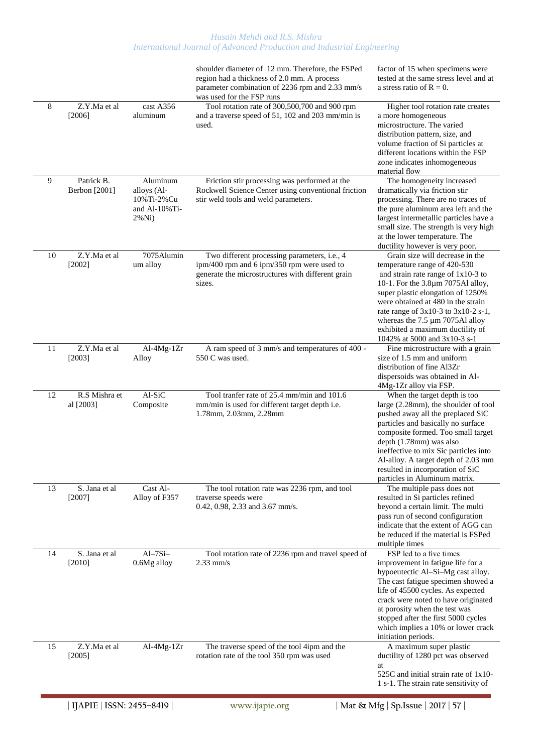|       |                             |                                                                          | shoulder diameter of 12 mm. Therefore, the FSPed<br>region had a thickness of 2.0 mm. A process<br>parameter combination of 2236 rpm and 2.33 mm/s<br>was used for the FSP runs | factor of 15 when specimens were<br>tested at the same stress level and at<br>a stress ratio of $R = 0$ .                                                                                                                                                                                                                                                                 |
|-------|-----------------------------|--------------------------------------------------------------------------|---------------------------------------------------------------------------------------------------------------------------------------------------------------------------------|---------------------------------------------------------------------------------------------------------------------------------------------------------------------------------------------------------------------------------------------------------------------------------------------------------------------------------------------------------------------------|
| $8\,$ | Z.Y.Ma et al<br>[2006]      | cast A356<br>aluminum                                                    | Tool rotation rate of 300,500,700 and 900 rpm<br>and a traverse speed of 51, 102 and 203 mm/min is<br>used.                                                                     | Higher tool rotation rate creates<br>a more homogeneous<br>microstructure. The varied<br>distribution pattern, size, and<br>volume fraction of Si particles at<br>different locations within the FSP<br>zone indicates inhomogeneous<br>material flow                                                                                                                     |
| 9     | Patrick B.<br>Berbon [2001] | Aluminum<br>alloys (Al-<br>10%Ti-2%Cu<br>and Al- $10\%$ Ti-<br>$2\%$ Ni) | Friction stir processing was performed at the<br>Rockwell Science Center using conventional friction<br>stir weld tools and weld parameters.                                    | The homogeneity increased<br>dramatically via friction stir<br>processing. There are no traces of<br>the pure aluminum area left and the<br>largest intermetallic particles have a<br>small size. The strength is very high<br>at the lower temperature. The<br>ductility however is very poor.                                                                           |
| 10    | Z.Y.Ma et al<br>$[2002]$    | 7075Alumin<br>um alloy                                                   | Two different processing parameters, i.e., 4<br>ipm/400 rpm and 6 ipm/350 rpm were used to<br>generate the microstructures with different grain<br>sizes.                       | Grain size will decrease in the<br>temperature range of 420-530<br>and strain rate range of $1x10-3$ to<br>10-1. For the 3.8µm 7075Al alloy,<br>super plastic elongation of 1250%<br>were obtained at 480 in the strain<br>rate range of $3x10-3$ to $3x10-2$ s-1,<br>whereas the 7.5 µm 7075Al alloy<br>exhibited a maximum ductility of<br>1042% at 5000 and 3x10-3 s-1 |
| 11    | Z.Y.Ma et al<br>[2003]      | $Al-4Mg-1Zr$<br>Alloy                                                    | A ram speed of 3 mm/s and temperatures of 400 -<br>550 C was used.                                                                                                              | Fine microstructure with a grain<br>size of 1.5 mm and uniform<br>distribution of fine Al3Zr<br>dispersoids was obtained in Al-<br>4Mg-1Zr alloy via FSP.                                                                                                                                                                                                                 |
| 12    | R.S Mishra et<br>al [2003]  | Al-SiC<br>Composite                                                      | Tool tranfer rate of 25.4 mm/min and 101.6<br>mm/min is used for different target depth i.e.<br>1.78mm, 2.03mm, 2.28mm                                                          | When the target depth is too<br>large (2.28mm), the shoulder of tool<br>pushed away all the preplaced SiC<br>particles and basically no surface<br>composite formed. Too small target<br>depth (1.78mm) was also<br>ineffective to mix Sic particles into<br>Al-alloy. A target depth of 2.03 mm<br>resulted in incorporation of SiC<br>particles in Aluminum matrix.     |
| 13    | S. Jana et al<br>[2007]     | Cast Al-<br>Alloy of F357                                                | The tool rotation rate was 2236 rpm, and tool<br>traverse speeds were<br>0.42, 0.98, 2.33 and 3.67 mm/s.                                                                        | The multiple pass does not<br>resulted in Si particles refined<br>beyond a certain limit. The multi<br>pass run of second configuration<br>indicate that the extent of AGG can<br>be reduced if the material is FSPed<br>multiple times                                                                                                                                   |
| 14    | S. Jana et al<br>$[2010]$   | $Al-7Si-$<br>0.6Mg alloy                                                 | Tool rotation rate of 2236 rpm and travel speed of<br>$2.33$ mm/s                                                                                                               | FSP led to a five times<br>improvement in fatigue life for a<br>hypoeutectic Al-Si-Mg cast alloy.<br>The cast fatigue specimen showed a<br>life of 45500 cycles. As expected<br>crack were noted to have originated<br>at porosity when the test was<br>stopped after the first 5000 cycles<br>which implies a 10% or lower crack<br>initiation periods.                  |
| 15    | Z.Y.Ma et al<br>[2005]      | $Al-4Mg-1Zr$                                                             | The traverse speed of the tool 4ipm and the<br>rotation rate of the tool 350 rpm was used                                                                                       | A maximum super plastic<br>ductility of 1280 pct was observed<br>at<br>525C and initial strain rate of 1x10-<br>1 s-1. The strain rate sensitivity of                                                                                                                                                                                                                     |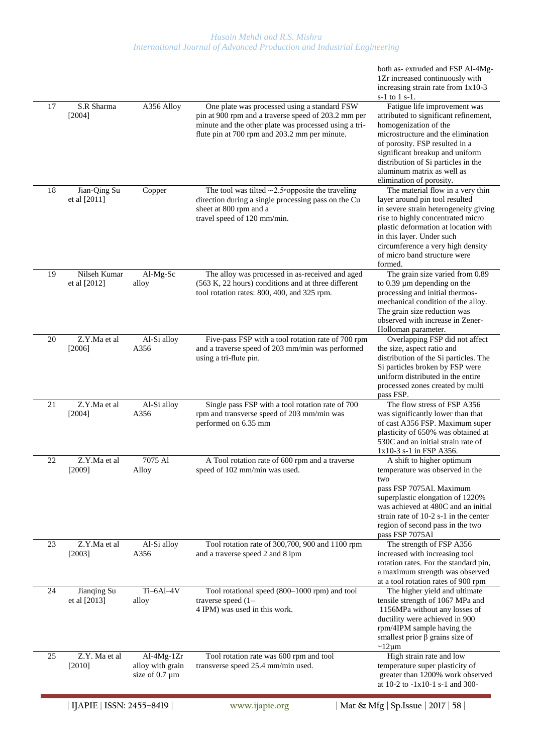|    | S.R Sharma                   |                                                         |                                                                                                                                                                                                               | both as-extruded and FSP Al-4Mg-<br>1Zr increased continuously with<br>increasing strain rate from 1x10-3<br>$s-1$ to 1 $s-1$ .                                                                                                                                                                            |
|----|------------------------------|---------------------------------------------------------|---------------------------------------------------------------------------------------------------------------------------------------------------------------------------------------------------------------|------------------------------------------------------------------------------------------------------------------------------------------------------------------------------------------------------------------------------------------------------------------------------------------------------------|
| 17 | [2004]                       | A356 Alloy                                              | One plate was processed using a standard FSW<br>pin at 900 rpm and a traverse speed of 203.2 mm per<br>minute and the other plate was processed using a tri-<br>flute pin at 700 rpm and 203.2 mm per minute. | Fatigue life improvement was<br>attributed to significant refinement,<br>homogenization of the<br>microstructure and the elimination<br>of porosity. FSP resulted in a<br>significant breakup and uniform<br>distribution of Si particles in the<br>aluminum matrix as well as<br>elimination of porosity. |
| 18 | Jian-Qing Su<br>et al [2011] | Copper                                                  | The tool was tilted $\sim$ 2.5 $\circ$ opposite the traveling<br>direction during a single processing pass on the Cu<br>sheet at 800 rpm and a<br>travel speed of 120 mm/min.                                 | The material flow in a very thin<br>layer around pin tool resulted<br>in severe strain heterogeneity giving<br>rise to highly concentrated micro<br>plastic deformation at location with<br>in this layer. Under such<br>circumference a very high density<br>of micro band structure were<br>formed.      |
| 19 | Nilseh Kumar<br>et al [2012] | Al-Mg-Sc<br>alloy                                       | The alloy was processed in as-received and aged<br>(563 K, 22 hours) conditions and at three different<br>tool rotation rates: 800, 400, and 325 rpm.                                                         | The grain size varied from 0.89<br>to $0.39 \mu m$ depending on the<br>processing and initial thermos-<br>mechanical condition of the alloy.<br>The grain size reduction was<br>observed with increase in Zener-<br>Holloman parameter.                                                                    |
| 20 | Z.Y.Ma et al<br>[2006]       | Al-Si alloy<br>A356                                     | Five-pass FSP with a tool rotation rate of 700 rpm<br>and a traverse speed of 203 mm/min was performed<br>using a tri-flute pin.                                                                              | Overlapping FSP did not affect<br>the size, aspect ratio and<br>distribution of the Si particles. The<br>Si particles broken by FSP were<br>uniform distributed in the entire<br>processed zones created by multi<br>pass FSP.                                                                             |
| 21 | Z.Y.Ma et al<br>[2004]       | Al-Si alloy<br>A356                                     | Single pass FSP with a tool rotation rate of 700<br>rpm and transverse speed of 203 mm/min was<br>performed on 6.35 mm                                                                                        | The flow stress of FSP A356<br>was significantly lower than that<br>of cast A356 FSP. Maximum super<br>plasticity of 650% was obtained at<br>530C and an initial strain rate of<br>1x10-3 s-1 in FSP A356.                                                                                                 |
| 22 | Z.Y.Ma et al<br>[2009]       | 7075 Al<br>Alloy                                        | A Tool rotation rate of 600 rpm and a traverse<br>speed of 102 mm/min was used.                                                                                                                               | A shift to higher optimum<br>temperature was observed in the<br>two<br>pass FSP 7075Al. Maximum<br>superplastic elongation of 1220%<br>was achieved at 480C and an initial<br>strain rate of $10-2$ s-1 in the center<br>region of second pass in the two<br>pass FSP 7075Al                               |
| 23 | Z.Y.Ma et al<br>[2003]       | Al-Si alloy<br>A356                                     | Tool rotation rate of 300,700, 900 and 1100 rpm<br>and a traverse speed 2 and 8 ipm                                                                                                                           | The strength of FSP A356<br>increased with increasing tool<br>rotation rates. For the standard pin,<br>a maximum strength was observed<br>at a tool rotation rates of 900 rpm                                                                                                                              |
| 24 | Jianqing Su<br>et al [2013]  | $Ti-6Al-4V$<br>alloy                                    | Tool rotational speed (800-1000 rpm) and tool<br>traverse speed $(1 -$<br>4 IPM) was used in this work.                                                                                                       | The higher yield and ultimate<br>tensile strength of 1067 MPa and<br>1156MPa without any losses of<br>ductility were achieved in 900<br>rpm/4IPM sample having the<br>smallest prior $\beta$ grains size of<br>$\sim$ 12µm                                                                                 |
| 25 | Z.Y. Ma et al<br>[2010]      | $Al-4Mg-1Zr$<br>alloy with grain<br>size of $0.7 \mu m$ | Tool rotation rate was 600 rpm and tool<br>transverse speed 25.4 mm/min used.                                                                                                                                 | High strain rate and low<br>temperature super plasticity of<br>greater than 1200% work observed<br>at 10-2 to -1x10-1 s-1 and 300-                                                                                                                                                                         |
|    | IJAPIE   ISSN: 2455-8419     |                                                         | www.ijapie.org                                                                                                                                                                                                | Mat & Mfg   Sp. Issue   2017   58                                                                                                                                                                                                                                                                          |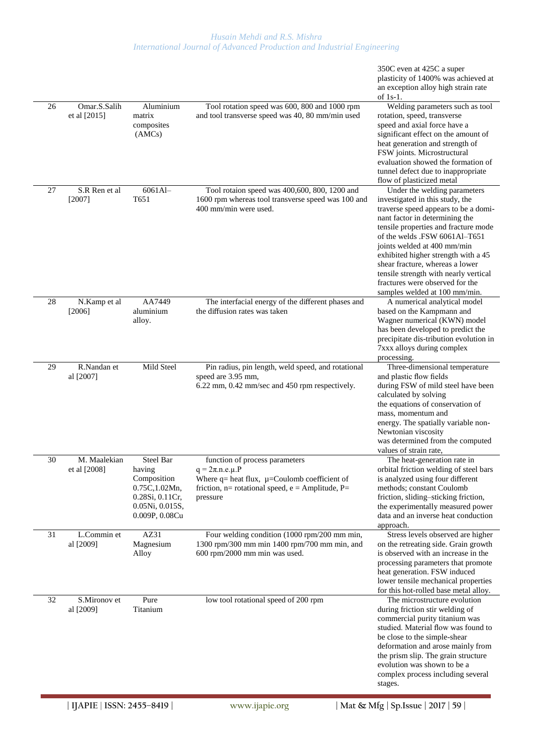| 26 | Omar.S.Salih<br>et al [2015] | Aluminium<br>matrix<br>composites<br>(AMCs)                                                                               | Tool rotation speed was 600, 800 and 1000 rpm<br>and tool transverse speed was 40, 80 mm/min used                                                                                  | 350C even at 425C a super<br>plasticity of 1400% was achieved at<br>an exception alloy high strain rate<br>of $1s-1$ .<br>Welding parameters such as tool<br>rotation, speed, transverse<br>speed and axial force have a<br>significant effect on the amount of<br>heat generation and strength of<br>FSW joints. Microstructural<br>evaluation showed the formation of                                                                                                                                     |
|----|------------------------------|---------------------------------------------------------------------------------------------------------------------------|------------------------------------------------------------------------------------------------------------------------------------------------------------------------------------|-------------------------------------------------------------------------------------------------------------------------------------------------------------------------------------------------------------------------------------------------------------------------------------------------------------------------------------------------------------------------------------------------------------------------------------------------------------------------------------------------------------|
| 27 | S.R Ren et al<br>$[2007]$    | 6061Al-<br>T <sub>651</sub>                                                                                               | Tool rotaion speed was 400,600, 800, 1200 and<br>1600 rpm whereas tool transverse speed was 100 and<br>400 mm/min were used.                                                       | tunnel defect due to inappropriate<br>flow of plasticized metal<br>Under the welding parameters<br>investigated in this study, the<br>traverse speed appears to be a domi-<br>nant factor in determining the<br>tensile properties and fracture mode<br>of the welds .FSW 6061Al-T651<br>joints welded at 400 mm/min<br>exhibited higher strength with a 45<br>shear fracture, whereas a lower<br>tensile strength with nearly vertical<br>fractures were observed for the<br>samples welded at 100 mm/min. |
| 28 | N.Kamp et al<br>[2006]       | AA7449<br>aluminium<br>alloy.                                                                                             | The interfacial energy of the different phases and<br>the diffusion rates was taken                                                                                                | A numerical analytical model<br>based on the Kampmann and<br>Wagner numerical (KWN) model<br>has been developed to predict the<br>precipitate dis-tribution evolution in<br>7xxx alloys during complex<br>processing.                                                                                                                                                                                                                                                                                       |
| 29 | R.Nandan et<br>al [2007]     | Mild Steel                                                                                                                | Pin radius, pin length, weld speed, and rotational<br>speed are 3.95 mm,<br>6.22 mm, 0.42 mm/sec and 450 rpm respectively.                                                         | Three-dimensional temperature<br>and plastic flow fields<br>during FSW of mild steel have been<br>calculated by solving<br>the equations of conservation of<br>mass, momentum and<br>energy. The spatially variable non-<br>Newtonian viscosity<br>was determined from the computed<br>values of strain rate,                                                                                                                                                                                               |
| 30 | M. Maalekian<br>et al [2008] | <b>Steel Bar</b><br>having<br>Composition<br>0.75C, 1.02Mn,<br>0.28Si, 0.11Cr,<br>$0.05Ni$ , $0.015S$ ,<br>0.009P, 0.08Cu | function of process parameters<br>$q = 2\pi n.e.\mu.P$<br>Where $q =$ heat flux, $\mu$ =Coulomb coefficient of<br>friction, $n=$ rotational speed, $e =$ Amplitude, P=<br>pressure | The heat-generation rate in<br>orbital friction welding of steel bars<br>is analyzed using four different<br>methods; constant Coulomb<br>friction, sliding-sticking friction,<br>the experimentally measured power<br>data and an inverse heat conduction<br>approach.                                                                                                                                                                                                                                     |
| 31 | L.Commin et<br>al [2009]     | AZ31<br>Magnesium<br>Alloy                                                                                                | Four welding condition $\sqrt{(1000 \text{ rpm}/200 \text{ mm min})}$ ,<br>1300 rpm/300 mm min 1400 rpm/700 mm min, and<br>600 rpm/2000 mm min was used.                           | Stress levels observed are higher<br>on the retreating side. Grain growth<br>is observed with an increase in the<br>processing parameters that promote<br>heat generation. FSW induced<br>lower tensile mechanical properties<br>for this hot-rolled base metal alloy.                                                                                                                                                                                                                                      |
| 32 | S.Mironov et<br>al [2009]    | Pure<br>Titanium                                                                                                          | low tool rotational speed of 200 rpm                                                                                                                                               | The microstructure evolution<br>during friction stir welding of<br>commercial purity titanium was<br>studied. Material flow was found to<br>be close to the simple-shear<br>deformation and arose mainly from<br>the prism slip. The grain structure<br>evolution was shown to be a<br>complex process including several<br>stages.                                                                                                                                                                         |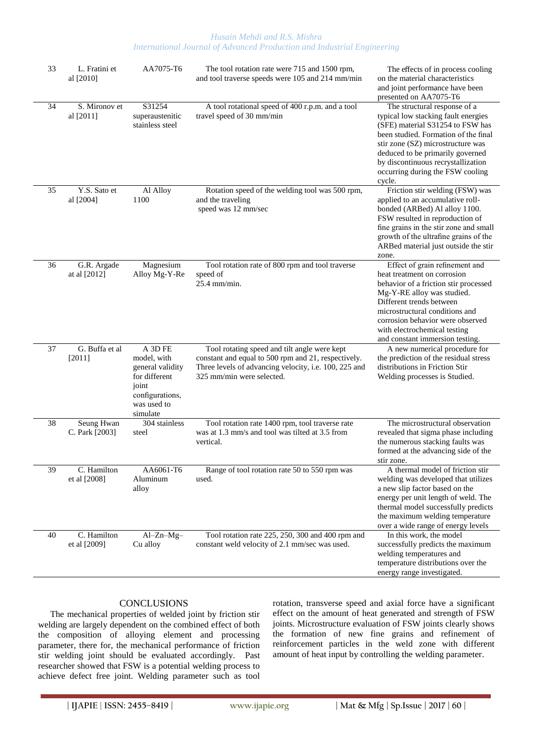| 33 | L. Fratini et<br>al [2010]   | AA7075-T6                                                                                                          | The tool rotation rate were 715 and 1500 rpm,<br>and tool traverse speeds were 105 and 214 mm/min                                                                                         | The effects of in process cooling<br>on the material characteristics<br>and joint performance have been<br>presented on AA7075-T6                                                                                                                                                                            |
|----|------------------------------|--------------------------------------------------------------------------------------------------------------------|-------------------------------------------------------------------------------------------------------------------------------------------------------------------------------------------|--------------------------------------------------------------------------------------------------------------------------------------------------------------------------------------------------------------------------------------------------------------------------------------------------------------|
| 34 | S. Mironov et<br>al [2011]   | S31254<br>superaustenitic<br>stainless steel                                                                       | A tool rotational speed of 400 r.p.m. and a tool<br>travel speed of 30 mm/min                                                                                                             | The structural response of a<br>typical low stacking fault energies<br>(SFE) material S31254 to FSW has<br>been studied. Formation of the final<br>stir zone (SZ) microstructure was<br>deduced to be primarily governed<br>by discontinuous recrystallization<br>occurring during the FSW cooling<br>cycle. |
| 35 | Y.S. Sato et<br>al [2004]    | Al Alloy<br>1100                                                                                                   | Rotation speed of the welding tool was 500 rpm,<br>and the traveling<br>speed was 12 mm/sec                                                                                               | Friction stir welding (FSW) was<br>applied to an accumulative roll-<br>bonded (ARBed) Al alloy 1100.<br>FSW resulted in reproduction of<br>fine grains in the stir zone and small<br>growth of the ultrafine grains of the<br>ARBed material just outside the stir<br>zone.                                  |
| 36 | G.R. Argade<br>at al [2012]  | Magnesium<br>Alloy Mg-Y-Re                                                                                         | Tool rotation rate of 800 rpm and tool traverse<br>speed of<br>$25.4$ mm/min.                                                                                                             | Effect of grain refinement and<br>heat treatment on corrosion<br>behavior of a friction stir processed<br>Mg-Y-RE alloy was studied.<br>Different trends between<br>microstructural conditions and<br>corrosion behavior were observed<br>with electrochemical testing<br>and constant immersion testing.    |
| 37 | G. Buffa et al<br>[2011]     | A 3D FE<br>model, with<br>general validity<br>for different<br>joint<br>configurations,<br>was used to<br>simulate | Tool rotating speed and tilt angle were kept<br>constant and equal to 500 rpm and 21, respectively.<br>Three levels of advancing velocity, i.e. 100, 225 and<br>325 mm/min were selected. | A new numerical procedure for<br>the prediction of the residual stress<br>distributions in Friction Stir<br>Welding processes is Studied.                                                                                                                                                                    |
| 38 | Seung Hwan<br>C. Park [2003] | 304 stainless<br>steel                                                                                             | Tool rotation rate 1400 rpm, tool traverse rate<br>was at 1.3 mm/s and tool was tilted at 3.5 from<br>vertical.                                                                           | The microstructural observation<br>revealed that sigma phase including<br>the numerous stacking faults was<br>formed at the advancing side of the<br>stir zone.                                                                                                                                              |
| 39 | C. Hamilton<br>et al [2008]  | AA6061-T6<br>Aluminum<br>alloy                                                                                     | Range of tool rotation rate 50 to 550 rpm was<br>used.                                                                                                                                    | A thermal model of friction stir<br>welding was developed that utilizes<br>a new slip factor based on the<br>energy per unit length of weld. The<br>thermal model successfully predicts<br>the maximum welding temperature<br>over a wide range of energy levels                                             |
| 40 | C. Hamilton<br>et al [2009]  | $Al-Zn-Mg-$<br>Cu alloy                                                                                            | Tool rotation rate 225, 250, 300 and 400 rpm and<br>constant weld velocity of 2.1 mm/sec was used.                                                                                        | In this work, the model<br>successfully predicts the maximum<br>welding temperatures and<br>temperature distributions over the<br>energy range investigated.                                                                                                                                                 |

# **CONCLUSIONS**

The mechanical properties of welded joint by friction stir welding are largely dependent on the combined effect of both the composition of alloying element and processing parameter, there for, the mechanical performance of friction stir welding joint should be evaluated accordingly. Past researcher showed that FSW is a potential welding process to achieve defect free joint. Welding parameter such as tool rotation, transverse speed and axial force have a significant effect on the amount of heat generated and strength of FSW joints. Microstructure evaluation of FSW joints clearly shows the formation of new fine grains and refinement of reinforcement particles in the weld zone with different amount of heat input by controlling the welding parameter.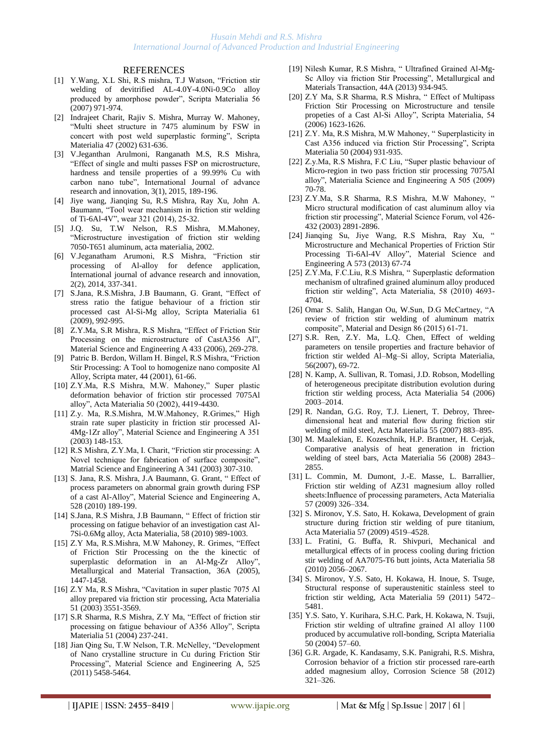#### REFERENCES

- [1] Y.Wang, X.L Shi, R.S mishra, T.J Watson, "Friction stir welding of devitrified AL-4.0Y-4.0Ni-0.9Co alloy produced by amorphose powder", Scripta Materialia 56 (2007) 971-974.
- [2] Indrajeet Charit, Rajiv S. Mishra, Murray W. Mahoney, "Multi sheet structure in 7475 aluminum by FSW in concert with post weld superplastic forming", Scripta Materialia 47 (2002) 631-636.
- [3] V.Jeganthan Arulmoni, Ranganath M.S, R.S Mishra, "Effect of single and multi passes FSP on microstructure, hardness and tensile properties of a 99.99% Cu with carbon nano tube", International Journal of advance research and innovation, 3(1), 2015, 189-196.
- [4] Jiye wang, Jianqing Su, R.S Mishra, Ray Xu, John A. Baumann, "Tool wear mechanism in friction stir welding of Ti-6Al-4V", wear 321 (2014), 25-32.
- [5] J.Q. Su, T.W Nelson, R.S Mishra, M.Mahoney, "Microstructure investigation of friction stir welding 7050-T651 aluminum, acta materialia, 2002.
- [6] V.Jeganatham Arumoni, R.S Mishra, "Friction stir processing of Al-alloy for defence application, International journal of advance research and innovation, 2(2), 2014, 337-341.
- [7] S.Jana, R.S.Mishra, J.B Baumann, G. Grant, "Effect of stress ratio the fatigue behaviour of a friction stir processed cast Al-Si-Mg alloy, Scripta Materialia 61 (2009), 992-995.
- [8] Z.Y.Ma, S.R Mishra, R.S Mishra, "Effect of Friction Stir Processing on the microstructure of CastA356 Al", Material Science and Engineering A 433 (2006), 269-278.
- [9] Patric B. Berdon, Willam H. Bingel, R.S Mishra, "Friction Stir Processing: A Tool to homogenize nano composite Al Alloy, Scripta mater, 44 (2001), 61-66.
- [10] Z.Y.Ma, R.S Mishra, M.W. Mahoney," Super plastic deformation behavior of friction stir processed 7075Al alloy", Acta Materialia 50 (2002), 4419-4430.
- [11] Z.y. Ma, R.S.Mishra, M.W.Mahoney, R.Grimes," High strain rate super plasticity in friction stir processed Al-4Mg-1Zr alloy", Material Science and Engineering A 351 (2003) 148-153.
- [12] R.S Mishra, Z.Y.Ma, I. Charit, "Friction stir processing: A Novel technique for fabrication of surface composite", Matrial Science and Engineering A 341 (2003) 307-310.
- [13] S. Jana, R.S. Mishra, J.A Baumann, G. Grant, " Effect of process parameters on abnormal grain growth during FSP of a cast Al-Alloy", Material Science and Engineering A, 528 (2010) 189-199.
- [14] S.Jana, R.S Mishra, J.B Baumann, " Effect of friction stir processing on fatigue behavior of an investigation cast Al-7Si-0.6Mg alloy, Acta Materialia, 58 (2010) 989-1003.
- [15] Z.Y Ma, R.S.Mishra, M.W Mahoney, R. Grimes, "Effect of Friction Stir Processing on the the kinectic of superplastic deformation in an Al-Mg-Zr Alloy", Metallurgical and Material Transaction, 36A (2005), 1447-1458.
- [16] Z.Y Ma, R.S Mishra, "Cavitation in super plastic 7075 Al alloy prepared via friction stir processing, Acta Materialia 51 (2003) 3551-3569.
- [17] S.R Sharma, R.S Mishra, Z.Y Ma, "Effect of friction stir processing on fatigue behaviour of A356 Alloy", Scripta Materialia 51 (2004) 237-241.
- [18] Jian Qing Su, T.W Nelson, T.R. McNelley, "Development of Nano crystalline structure in Cu during Friction Stir Processing", Material Science and Engineering A, 525 (2011) 5458-5464.
- [19] Nilesh Kumar, R.S Mishra, " Ultrafined Grained Al-Mg-Sc Alloy via friction Stir Processing", Metallurgical and Materials Transaction, 44A (2013) 934-945.
- [20] Z.Y Ma, S.R Sharma, R.S Mishra, " Effect of Multipass Friction Stir Processing on Microstructure and tensile propeties of a Cast Al-Si Alloy", Scripta Materialia, 54 (2006) 1623-1626.
- [21] Z.Y. Ma, R.S Mishra, M.W Mahoney, " Superplasticity in Cast A356 induced via friction Stir Processing", Scripta Materialia 50 (2004) 931-935.
- [22] Z.y.Ma, R.S Mishra, F.C Liu, "Super plastic behaviour of Micro-region in two pass friction stir processing 7075Al alloy", Materialia Science and Engineering A 505 (2009) 70-78.
- [23] Z.Y.Ma, S.R Sharma, R.S Mishra, M.W Mahoney, " Micro structural modification of cast aluminum alloy via friction stir processing", Material Science Forum, vol 426- 432 (2003) 2891-2896.
- [24] Jianqing Su, Jiye Wang, R.S Mishra, Ray Xu, " Microstructure and Mechanical Properties of Friction Stir Processing Ti-6Al-4V Alloy", Material Science and Engineering A 573 (2013) 67-74
- [25] Z.Y.Ma, F.C.Liu, R.S Mishra, " Superplastic deformation mechanism of ultrafined grained aluminum alloy produced friction stir welding", Acta Materialia, 58 (2010) 4693- 4704.
- [26] Omar S. Salih, Hangan Ou, W.Sun, D.G McCartney, "A review of friction stir welding of aluminum matrix composite", Material and Design 86 (2015) 61-71.
- [27] S.R. Ren, Z.Y. Ma, L.Q. Chen, Effect of welding parameters on tensile properties and fracture behavior of friction stir welded Al–Mg–Si alloy, Scripta Materialia, 56(2007), 69-72.
- [28] N. Kamp, A. Sullivan, R. Tomasi, J.D. Robson, Modelling of heterogeneous precipitate distribution evolution during friction stir welding process, Acta Materialia 54 (2006) 2003–2014.
- [29] R. Nandan, G.G. Roy, T.J. Lienert, T. Debroy, Threedimensional heat and material flow during friction stir welding of mild steel, Acta Materialia 55 (2007) 883–895.
- [30] M. Maalekian, E. Kozeschnik, H.P. Brantner, H. Cerjak, Comparative analysis of heat generation in friction welding of steel bars, Acta Materialia 56 (2008) 2843– 2855.
- [31] L. Commin, M. Dumont, J.-E. Masse, L. Barrallier, Friction stir welding of AZ31 magnesium alloy rolled sheets:Influence of processing parameters, Acta Materialia 57 (2009) 326–334.
- [32] S. Mironov, Y.S. Sato, H. Kokawa, Development of grain structure during friction stir welding of pure titanium, Acta Materialia 57 (2009) 4519–4528.
- [33] L. Fratini, G. Buffa, R. Shivpuri, Mechanical and metallurgical effects of in process cooling during friction stir welding of AA7075-T6 butt joints, Acta Materialia 58 (2010) 2056–2067.
- [34] S. Mironov, Y.S. Sato, H. Kokawa, H. Inoue, S. Tsuge, Structural response of superaustenitic stainless steel to friction stir welding, Acta Materialia 59 (2011) 5472– 5481.
- [35] Y.S. Sato, Y. Kurihara, S.H.C. Park, H. Kokawa, N. Tsuji, Friction stir welding of ultrafine grained Al alloy 1100 produced by accumulative roll-bonding, Scripta Materialia 50 (2004) 57–60.
- [36] G.R. Argade, K. Kandasamy, S.K. Panigrahi, R.S. Mishra, Corrosion behavior of a friction stir processed rare-earth added magnesium alloy, Corrosion Science 58 (2012) 321–326.